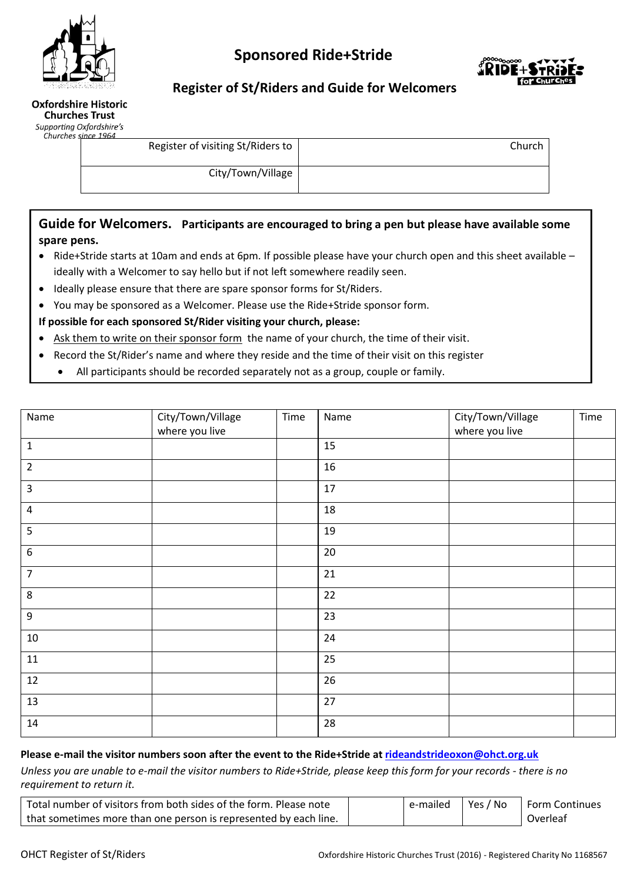

# **Sponsored Ride+Stride**



## **Register of St/Riders and Guide for Welcomers**

| Oxfordshire Historic  |  |
|-----------------------|--|
| <b>Churches Trust</b> |  |

Supporting Oxfordshire's Church

•

| $\sim$ | es since 1964                     |        |
|--------|-----------------------------------|--------|
|        | Register of visiting St/Riders to | Church |
|        | City/Town/Village                 |        |

## **Guide for Welcomers. Participants are encouraged to bring a pen but please have available some spare pens.**

- Ride+Stride starts at 10am and ends at 6pm. If possible please have your church open and this sheet available ideally with a Welcomer to say hello but if not left somewhere readily seen.
- Ideally please ensure that there are spare sponsor forms for St/Riders.
- You may be sponsored as a Welcomer. Please use the Ride+Stride sponsor form.

#### **If possible for each sponsored St/Rider visiting your church, please:**

- Ask them to write on their sponsor form the name of your church, the time of their visit.
- Record the St/Rider's name and where they reside and the time of their visit on this register
	- All participants should be recorded separately not as a group, couple or family.

| Name             | City/Town/Village<br>where you live | Time | Name | City/Town/Village<br>where you live | Time |
|------------------|-------------------------------------|------|------|-------------------------------------|------|
| $\mathbf 1$      |                                     |      | 15   |                                     |      |
| $\overline{2}$   |                                     |      | 16   |                                     |      |
| $\mathbf{3}$     |                                     |      | 17   |                                     |      |
| $\overline{a}$   |                                     |      | 18   |                                     |      |
| 5                |                                     |      | 19   |                                     |      |
| $\boldsymbol{6}$ |                                     |      | 20   |                                     |      |
| $\overline{7}$   |                                     |      | 21   |                                     |      |
| 8                |                                     |      | 22   |                                     |      |
| $\boldsymbol{9}$ |                                     |      | 23   |                                     |      |
| $10\,$           |                                     |      | 24   |                                     |      |
| $11\,$           |                                     |      | 25   |                                     |      |
| $12\,$           |                                     |      | 26   |                                     |      |
| 13               |                                     |      | 27   |                                     |      |
| 14               |                                     |      | 28   |                                     |      |

#### **Please e-mail the visitor numbers soon after the event to the Ride+Stride a[t rideandstrideoxon@ohct.org.uk](mailto:rideandstrideoxon@ohct.org.uk)**

*Unless you are unable to e-mail the visitor numbers to Ride+Stride, please keep this form for your records - there is no requirement to return it.*

| Total number of visitors from both sides of the form. Please note | e-mailed | Yes / No | <b>Form Continues</b> |
|-------------------------------------------------------------------|----------|----------|-----------------------|
| that sometimes more than one person is represented by each line.  |          |          | Overleaf              |